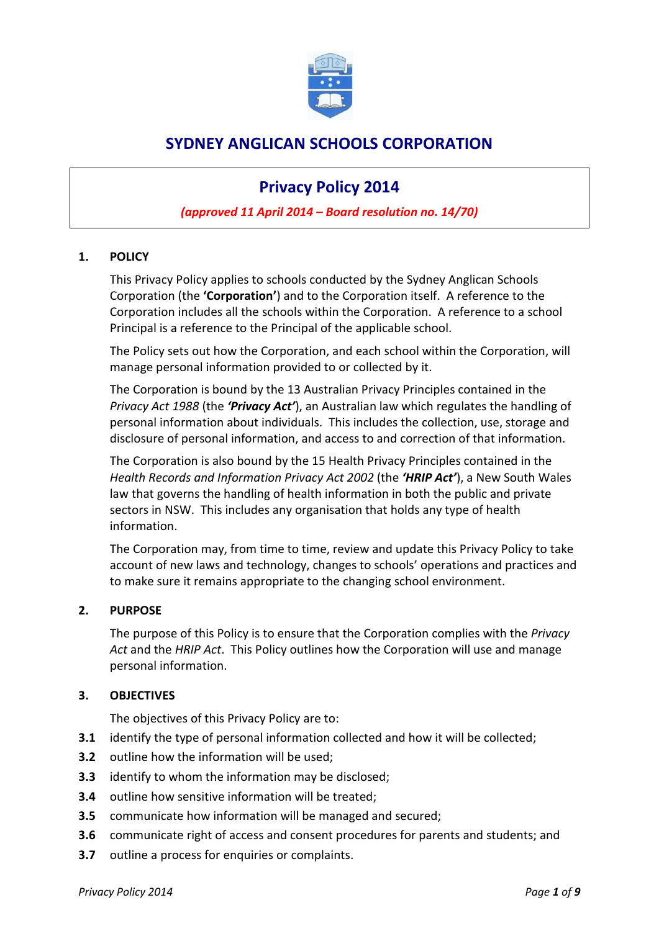

## **SYDNEY ANGLICAN SCHOOLS CORPORATION**

# **Privacy Policy 2014**

## *(approved 11 April 2014 – Board resolution no. 14/70)*

### **1. POLICY**

This Privacy Policy applies to schools conducted by the Sydney Anglican Schools Corporation (the **'Corporation'**) and to the Corporation itself. A reference to the Corporation includes all the schools within the Corporation. A reference to a school Principal is a reference to the Principal of the applicable school.

The Policy sets out how the Corporation, and each school within the Corporation, will manage personal information provided to or collected by it.

The Corporation is bound by the 13 Australian Privacy Principles contained in the *Privacy Act 1988* (the *'Privacy Act'*), an Australian law which regulates the handling of personal information about individuals. This includes the collection, use, storage and disclosure of personal information, and access to and correction of that information.

The Corporation is also bound by the 15 Health Privacy Principles contained in the *Health Records and Information Privacy Act 2002* (the *'HRIP Act'*), a New South Wales law that governs the handling of health information in both the public and private sectors in NSW. This includes any organisation that holds any type of health information.

The Corporation may, from time to time, review and update this Privacy Policy to take account of new laws and technology, changes to schools' operations and practices and to make sure it remains appropriate to the changing school environment.

#### **2. PURPOSE**

The purpose of this Policy is to ensure that the Corporation complies with the *Privacy Act* and the *HRIP Act*. This Policy outlines how the Corporation will use and manage personal information.

#### **3. OBJECTIVES**

The objectives of this Privacy Policy are to:

- **3.1** identify the type of personal information collected and how it will be collected;
- **3.2** outline how the information will be used;
- **3.3** identify to whom the information may be disclosed;
- **3.4** outline how sensitive information will be treated;
- **3.5** communicate how information will be managed and secured;
- **3.6** communicate right of access and consent procedures for parents and students; and
- **3.7** outline a process for enquiries or complaints.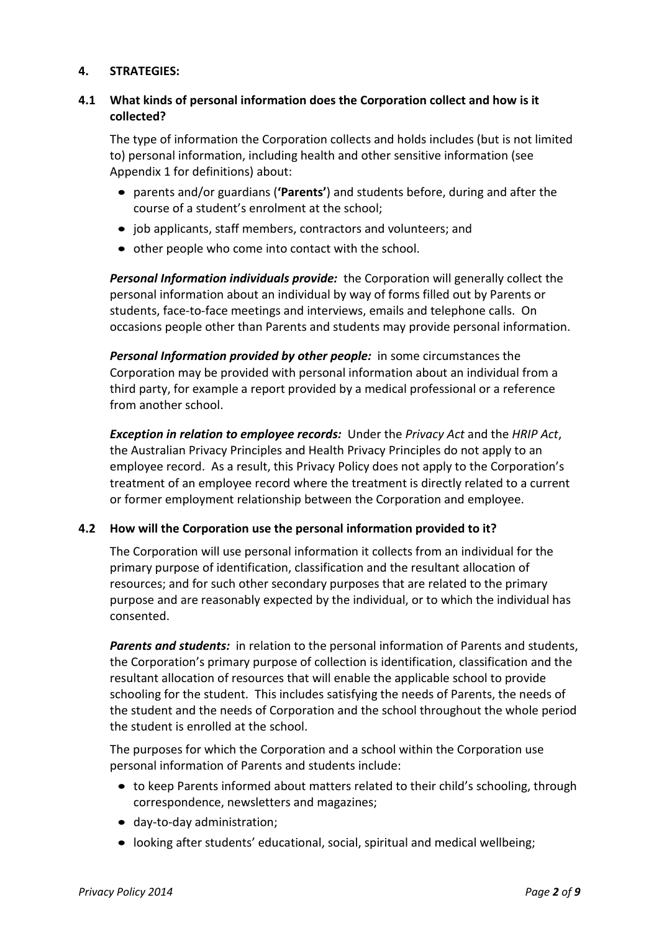### **4. STRATEGIES:**

## **4.1 What kinds of personal information does the Corporation collect and how is it collected?**

The type of information the Corporation collects and holds includes (but is not limited to) personal information, including health and other sensitive information (see Appendix 1 for definitions) about:

- parents and/or guardians (**'Parents'**) and students before, during and after the course of a student's enrolment at the school;
- job applicants, staff members, contractors and volunteers; and
- other people who come into contact with the school.

*Personal Information individuals provide:* the Corporation will generally collect the personal information about an individual by way of forms filled out by Parents or students, face-to-face meetings and interviews, emails and telephone calls. On occasions people other than Parents and students may provide personal information.

*Personal Information provided by other people:* in some circumstances the Corporation may be provided with personal information about an individual from a third party, for example a report provided by a medical professional or a reference from another school.

*Exception in relation to employee records:* Under the *Privacy Act* and the *HRIP Act*, the Australian Privacy Principles and Health Privacy Principles do not apply to an employee record. As a result, this Privacy Policy does not apply to the Corporation's treatment of an employee record where the treatment is directly related to a current or former employment relationship between the Corporation and employee.

## **4.2 How will the Corporation use the personal information provided to it?**

The Corporation will use personal information it collects from an individual for the primary purpose of identification, classification and the resultant allocation of resources; and for such other secondary purposes that are related to the primary purpose and are reasonably expected by the individual, or to which the individual has consented.

*Parents and students:* in relation to the personal information of Parents and students, the Corporation's primary purpose of collection is identification, classification and the resultant allocation of resources that will enable the applicable school to provide schooling for the student. This includes satisfying the needs of Parents, the needs of the student and the needs of Corporation and the school throughout the whole period the student is enrolled at the school.

The purposes for which the Corporation and a school within the Corporation use personal information of Parents and students include:

- to keep Parents informed about matters related to their child's schooling, through correspondence, newsletters and magazines;
- day-to-day administration;
- looking after students' educational, social, spiritual and medical wellbeing;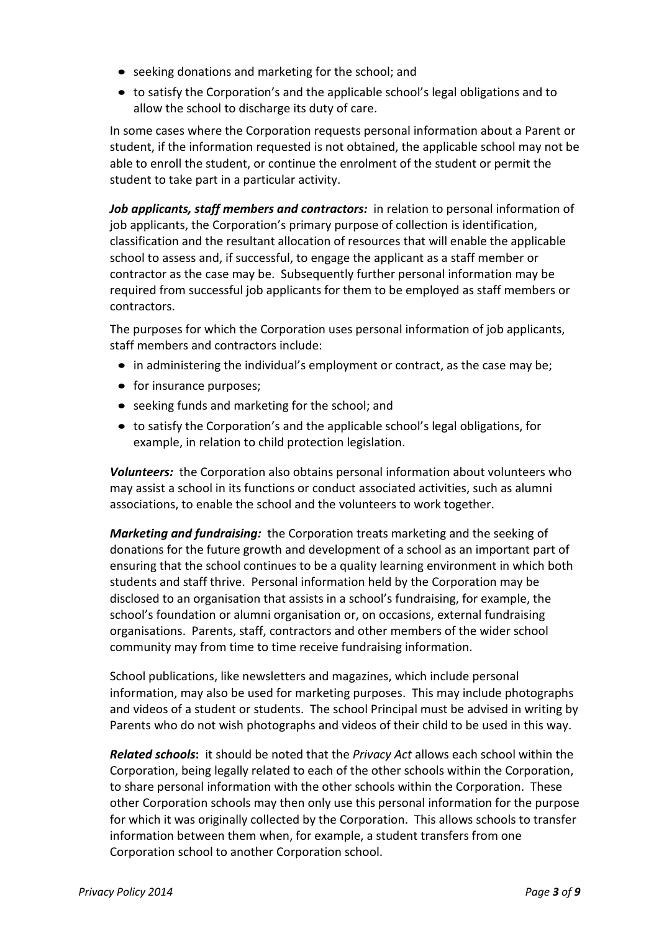- seeking donations and marketing for the school; and
- to satisfy the Corporation's and the applicable school's legal obligations and to allow the school to discharge its duty of care.

In some cases where the Corporation requests personal information about a Parent or student, if the information requested is not obtained, the applicable school may not be able to enroll the student, or continue the enrolment of the student or permit the student to take part in a particular activity.

*Job applicants, staff members and contractors:* in relation to personal information of job applicants, the Corporation's primary purpose of collection is identification, classification and the resultant allocation of resources that will enable the applicable school to assess and, if successful, to engage the applicant as a staff member or contractor as the case may be. Subsequently further personal information may be required from successful job applicants for them to be employed as staff members or contractors.

The purposes for which the Corporation uses personal information of job applicants, staff members and contractors include:

- in administering the individual's employment or contract, as the case may be;
- for insurance purposes;
- seeking funds and marketing for the school; and
- to satisfy the Corporation's and the applicable school's legal obligations, for example, in relation to child protection legislation.

*Volunteers:* the Corporation also obtains personal information about volunteers who may assist a school in its functions or conduct associated activities, such as alumni associations, to enable the school and the volunteers to work together.

*Marketing and fundraising:* the Corporation treats marketing and the seeking of donations for the future growth and development of a school as an important part of ensuring that the school continues to be a quality learning environment in which both students and staff thrive. Personal information held by the Corporation may be disclosed to an organisation that assists in a school's fundraising, for example, the school's foundation or alumni organisation or, on occasions, external fundraising organisations. Parents, staff, contractors and other members of the wider school community may from time to time receive fundraising information.

School publications, like newsletters and magazines, which include personal information, may also be used for marketing purposes. This may include photographs and videos of a student or students. The school Principal must be advised in writing by Parents who do not wish photographs and videos of their child to be used in this way.

*Related schools***:** it should be noted that the *Privacy Act* allows each school within the Corporation, being legally related to each of the other schools within the Corporation, to share personal information with the other schools within the Corporation. These other Corporation schools may then only use this personal information for the purpose for which it was originally collected by the Corporation. This allows schools to transfer information between them when, for example, a student transfers from one Corporation school to another Corporation school.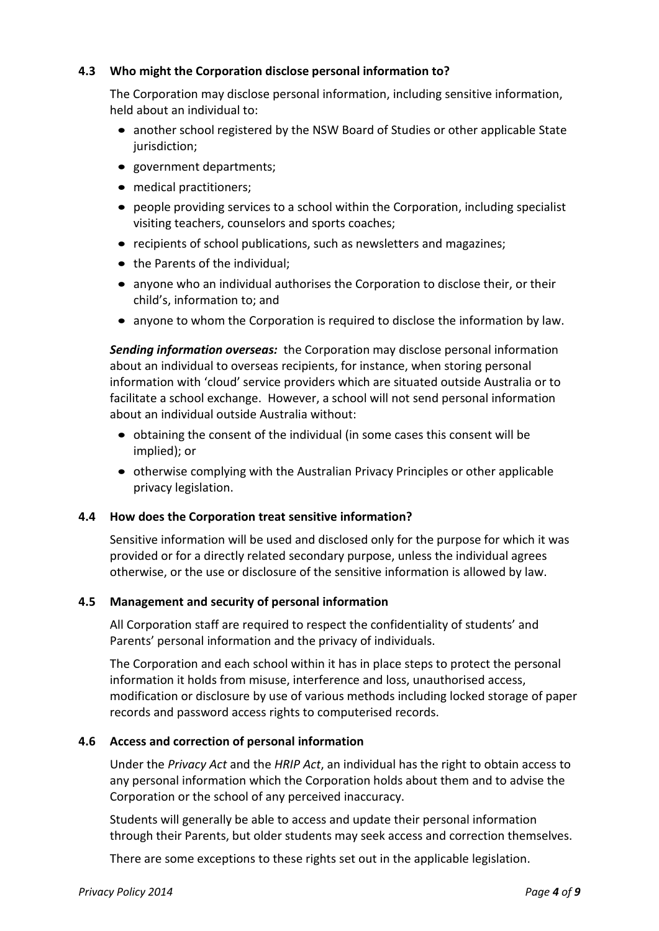### **4.3 Who might the Corporation disclose personal information to?**

The Corporation may disclose personal information, including sensitive information, held about an individual to:

- another school registered by the NSW Board of Studies or other applicable State jurisdiction;
- government departments;
- medical practitioners;
- people providing services to a school within the Corporation, including specialist visiting teachers, counselors and sports coaches;
- recipients of school publications, such as newsletters and magazines;
- the Parents of the individual;
- anyone who an individual authorises the Corporation to disclose their, or their child's, information to; and
- anyone to whom the Corporation is required to disclose the information by law.

*Sending information overseas:* the Corporation may disclose personal information about an individual to overseas recipients, for instance, when storing personal information with 'cloud' service providers which are situated outside Australia or to facilitate a school exchange. However, a school will not send personal information about an individual outside Australia without:

- obtaining the consent of the individual (in some cases this consent will be implied); or
- otherwise complying with the Australian Privacy Principles or other applicable privacy legislation.

#### **4.4 How does the Corporation treat sensitive information?**

Sensitive information will be used and disclosed only for the purpose for which it was provided or for a directly related secondary purpose, unless the individual agrees otherwise, or the use or disclosure of the sensitive information is allowed by law.

#### **4.5 Management and security of personal information**

All Corporation staff are required to respect the confidentiality of students' and Parents' personal information and the privacy of individuals.

The Corporation and each school within it has in place steps to protect the personal information it holds from misuse, interference and loss, unauthorised access, modification or disclosure by use of various methods including locked storage of paper records and password access rights to computerised records.

#### **4.6 Access and correction of personal information**

Under the *Privacy Act* and the *HRIP Act*, an individual has the right to obtain access to any personal information which the Corporation holds about them and to advise the Corporation or the school of any perceived inaccuracy.

Students will generally be able to access and update their personal information through their Parents, but older students may seek access and correction themselves.

There are some exceptions to these rights set out in the applicable legislation.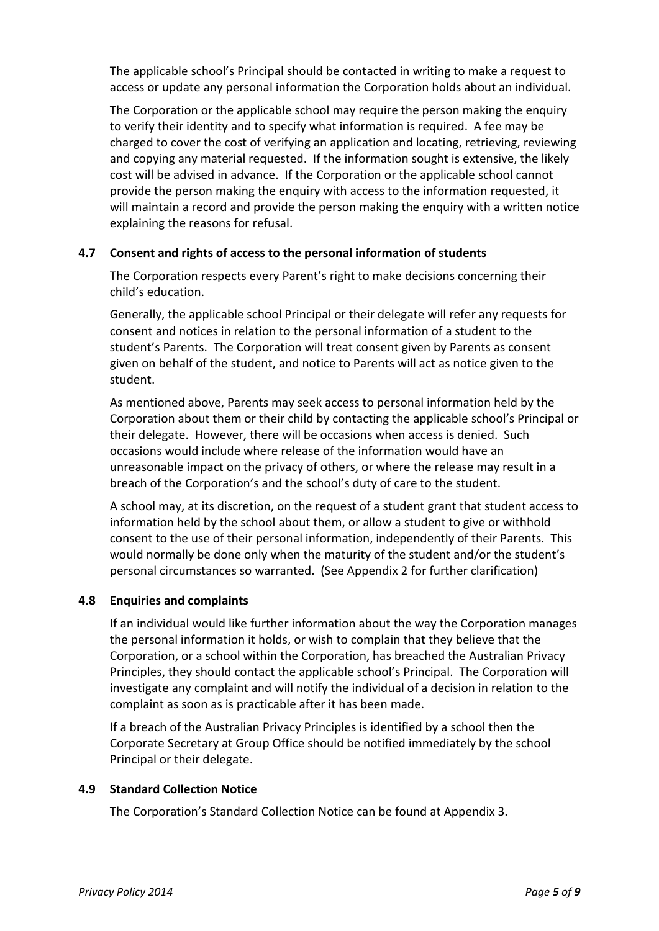The applicable school's Principal should be contacted in writing to make a request to access or update any personal information the Corporation holds about an individual.

The Corporation or the applicable school may require the person making the enquiry to verify their identity and to specify what information is required. A fee may be charged to cover the cost of verifying an application and locating, retrieving, reviewing and copying any material requested. If the information sought is extensive, the likely cost will be advised in advance. If the Corporation or the applicable school cannot provide the person making the enquiry with access to the information requested, it will maintain a record and provide the person making the enquiry with a written notice explaining the reasons for refusal.

#### **4.7 Consent and rights of access to the personal information of students**

The Corporation respects every Parent's right to make decisions concerning their child's education.

Generally, the applicable school Principal or their delegate will refer any requests for consent and notices in relation to the personal information of a student to the student's Parents. The Corporation will treat consent given by Parents as consent given on behalf of the student, and notice to Parents will act as notice given to the student.

As mentioned above, Parents may seek access to personal information held by the Corporation about them or their child by contacting the applicable school's Principal or their delegate. However, there will be occasions when access is denied. Such occasions would include where release of the information would have an unreasonable impact on the privacy of others, or where the release may result in a breach of the Corporation's and the school's duty of care to the student.

A school may, at its discretion, on the request of a student grant that student access to information held by the school about them, or allow a student to give or withhold consent to the use of their personal information, independently of their Parents. This would normally be done only when the maturity of the student and/or the student's personal circumstances so warranted. (See Appendix 2 for further clarification)

#### **4.8 Enquiries and complaints**

If an individual would like further information about the way the Corporation manages the personal information it holds, or wish to complain that they believe that the Corporation, or a school within the Corporation, has breached the Australian Privacy Principles, they should contact the applicable school's Principal. The Corporation will investigate any complaint and will notify the individual of a decision in relation to the complaint as soon as is practicable after it has been made.

If a breach of the Australian Privacy Principles is identified by a school then the Corporate Secretary at Group Office should be notified immediately by the school Principal or their delegate.

#### **4.9 Standard Collection Notice**

The Corporation's Standard Collection Notice can be found at Appendix 3.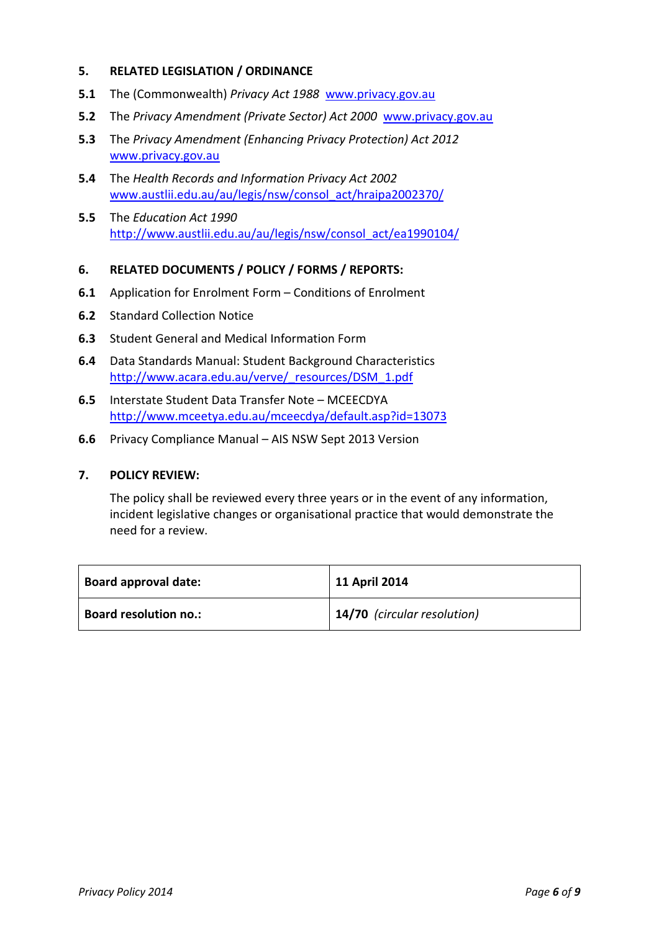#### **5. RELATED LEGISLATION / ORDINANCE**

- **5.1** The (Commonwealth) *Privacy Act 1988* [www.privacy.gov.au](http://www.privacy.gov.au/)
- **5.2** The *Privacy Amendment (Private Sector) Act 2000* [www.privacy.gov.au](http://www.privacy.gov.au/)
- **5.3** The *Privacy Amendment (Enhancing Privacy Protection) Act 2012* [www.privacy.gov.au](http://www.privacy.gov.au/)
- **5.4** The *Health Records and Information Privacy Act 2002* [www.austlii.edu.au/au/legis/nsw/consol\\_act/hraipa2002370/](http://www.austlii.edu.au/au/legis/nsw/consol_act/hraipa2002370/)
- **5.5** The *Education Act 1990* [http://www.austlii.edu.au/au/legis/nsw/consol\\_act/ea1990104/](http://www.austlii.edu.au/au/legis/nsw/consol_act/ea1990104/)

#### **6. RELATED DOCUMENTS / POLICY / FORMS / REPORTS:**

- **6.1** Application for Enrolment Form Conditions of Enrolment
- **6.2** Standard Collection Notice
- **6.3** Student General and Medical Information Form
- **6.4** Data Standards Manual: Student Background Characteristics [http://www.acara.edu.au/verve/\\_resources/DSM\\_1.pdf](http://www.acara.edu.au/verve/_resources/DSM_1.pdf)
- **6.5** Interstate Student Data Transfer Note MCEECDYA <http://www.mceetya.edu.au/mceecdya/default.asp?id=13073>
- **6.6** Privacy Compliance Manual AIS NSW Sept 2013 Version

#### **7. POLICY REVIEW:**

The policy shall be reviewed every three years or in the event of any information, incident legislative changes or organisational practice that would demonstrate the need for a review.

| <b>Board approval date:</b>  | 11 April 2014               |
|------------------------------|-----------------------------|
| <b>Board resolution no.:</b> | 14/70 (circular resolution) |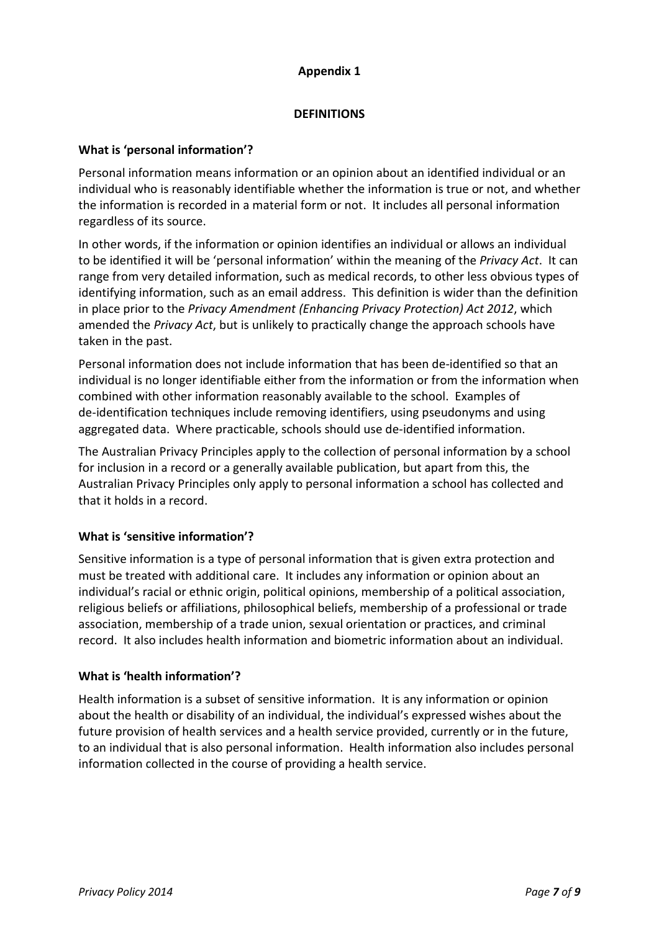## **Appendix 1**

## **DEFINITIONS**

## **What is 'personal information'?**

Personal information means information or an opinion about an identified individual or an individual who is reasonably identifiable whether the information is true or not, and whether the information is recorded in a material form or not. It includes all personal information regardless of its source.

In other words, if the information or opinion identifies an individual or allows an individual to be identified it will be 'personal information' within the meaning of the *Privacy Act*. It can range from very detailed information, such as medical records, to other less obvious types of identifying information, such as an email address. This definition is wider than the definition in place prior to the *Privacy Amendment (Enhancing Privacy Protection) Act 2012*, which amended the *Privacy Act*, but is unlikely to practically change the approach schools have taken in the past.

Personal information does not include information that has been de-identified so that an individual is no longer identifiable either from the information or from the information when combined with other information reasonably available to the school. Examples of de-identification techniques include removing identifiers, using pseudonyms and using aggregated data. Where practicable, schools should use de-identified information.

The Australian Privacy Principles apply to the collection of personal information by a school for inclusion in a record or a generally available publication, but apart from this, the Australian Privacy Principles only apply to personal information a school has collected and that it holds in a record.

## **What is 'sensitive information'?**

Sensitive information is a type of personal information that is given extra protection and must be treated with additional care. It includes any information or opinion about an individual's racial or ethnic origin, political opinions, membership of a political association, religious beliefs or affiliations, philosophical beliefs, membership of a professional or trade association, membership of a trade union, sexual orientation or practices, and criminal record. It also includes health information and biometric information about an individual.

## **What is 'health information'?**

Health information is a subset of sensitive information. It is any information or opinion about the health or disability of an individual, the individual's expressed wishes about the future provision of health services and a health service provided, currently or in the future, to an individual that is also personal information. Health information also includes personal information collected in the course of providing a health service.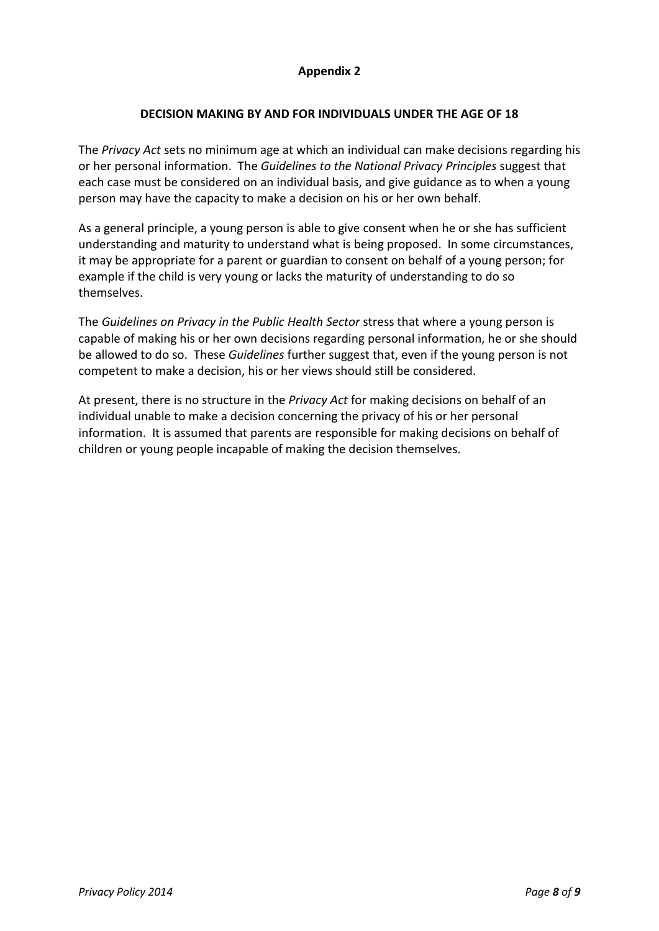## **Appendix 2**

### **DECISION MAKING BY AND FOR INDIVIDUALS UNDER THE AGE OF 18**

The *Privacy Act* sets no minimum age at which an individual can make decisions regarding his or her personal information. The *Guidelines to the National Privacy Principles* suggest that each case must be considered on an individual basis, and give guidance as to when a young person may have the capacity to make a decision on his or her own behalf.

As a general principle, a young person is able to give consent when he or she has sufficient understanding and maturity to understand what is being proposed. In some circumstances, it may be appropriate for a parent or guardian to consent on behalf of a young person; for example if the child is very young or lacks the maturity of understanding to do so themselves.

The *Guidelines on Privacy in the Public Health Sector* stress that where a young person is capable of making his or her own decisions regarding personal information, he or she should be allowed to do so. These *Guidelines* further suggest that, even if the young person is not competent to make a decision, his or her views should still be considered.

At present, there is no structure in the *Privacy Act* for making decisions on behalf of an individual unable to make a decision concerning the privacy of his or her personal information. It is assumed that parents are responsible for making decisions on behalf of children or young people incapable of making the decision themselves.